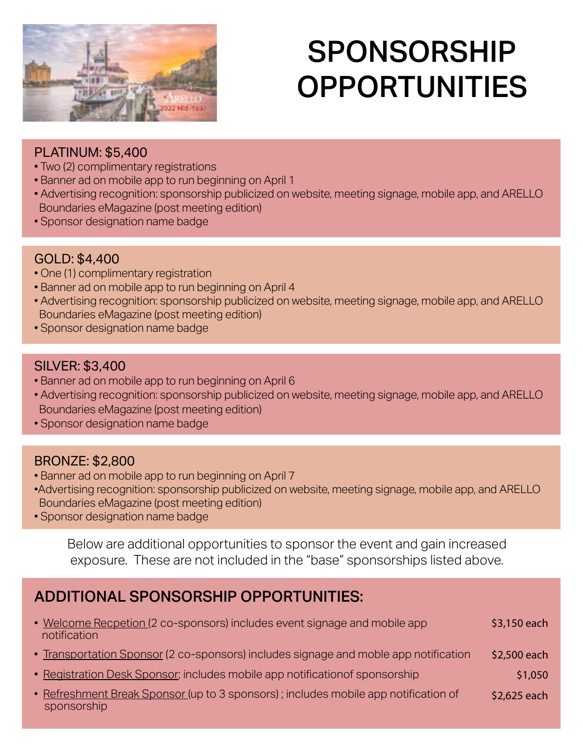

# SPONSORSHIP OPPORTUNITIES

### PLATINUM: \$5,400

- Two (2) complimentary registrations
- Banner ad on mobile app to run beginning on April 1
- Advertising recognition: sponsorship publicized on website, meeting signage, mobile app, and ARELLO Boundaries eMagazine (post meeting edition)
- Sponsor designation name badge

### GOLD: \$4,400

- One (1) complimentary registration
- Banner ad on mobile app to run beginning on April 4
- Advertising recognition: sponsorship publicized on website, meeting signage, mobile app, and ARELLO Boundaries eMagazine (post meeting edition)
- Sponsor designation name badge

#### SILVER: \$3,400

- Banner ad on mobile app to run beginning on April 6
- Advertising recognition: sponsorship publicized on website, meeting signage, mobile app, and ARELLO Boundaries eMagazine (post meeting edition)
- Sponsor designation name badge

### BRONZE: \$2,800

- Banner ad on mobile app to run beginning on April 7
- •Advertising recognition: sponsorship publicized on website, meeting signage, mobile app, and ARELLO Boundaries eMagazine (post meeting edition)
- Sponsor designation name badge

Below are additional opportunities to sponsor the event and gain increased exposure. These are not included in the "base" sponsorships listed above.

### ADDITIONAL SPONSORSHIP OPPORTUNITIES:

| • Welcome Recpetion (2 co-sponsors) includes event signage and mobile app<br>notification | \$3,150 each |
|-------------------------------------------------------------------------------------------|--------------|
| • Transportation Sponsor (2 co-sponsors) includes signage and moble app notification      | \$2,500 each |
| • Registration Desk Sponsor; includes mobile app notification of sponsorship              | \$1,050      |

• Refreshment Break Sponsor (up to 3 sponsors) ; includes mobile app notification of sponsorship \$2,625 each